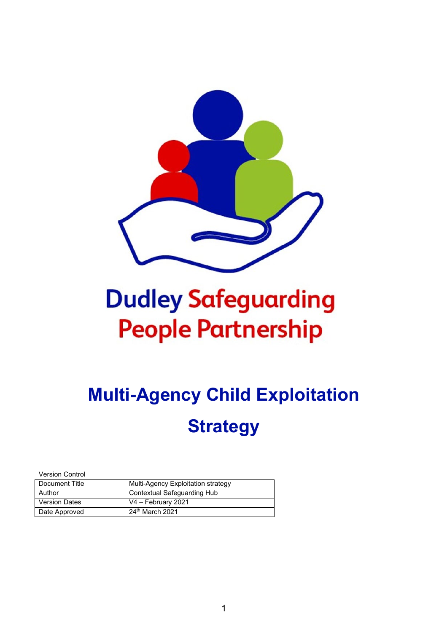

# **Dudley Safeguarding People Partnership**

## **Multi-Agency Child Exploitation Strategy**

Version Control

| Document Title       | Multi-Agency Exploitation strategy |
|----------------------|------------------------------------|
| Author               | Contextual Safeguarding Hub        |
| <b>Version Dates</b> | V4 - February 2021                 |
| Date Approved        | $24th$ March 2021                  |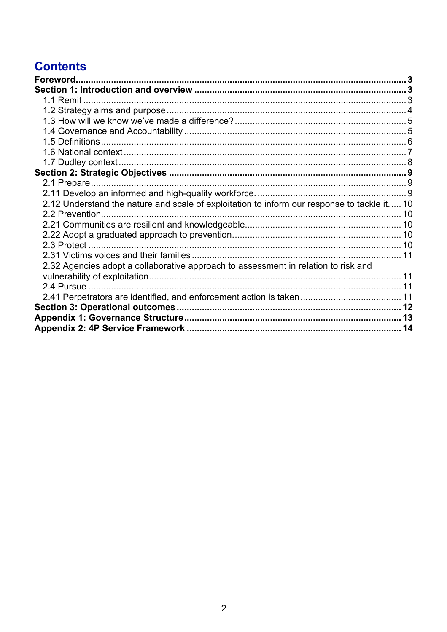### **Contents**

| Foreword                                                                                    |  |
|---------------------------------------------------------------------------------------------|--|
|                                                                                             |  |
|                                                                                             |  |
|                                                                                             |  |
|                                                                                             |  |
|                                                                                             |  |
|                                                                                             |  |
|                                                                                             |  |
|                                                                                             |  |
|                                                                                             |  |
|                                                                                             |  |
|                                                                                             |  |
| 2.12 Understand the nature and scale of exploitation to inform our response to tackle it 10 |  |
|                                                                                             |  |
|                                                                                             |  |
|                                                                                             |  |
| 2.3 Protect.                                                                                |  |
|                                                                                             |  |
| 2.32 Agencies adopt a collaborative approach to assessment in relation to risk and          |  |
|                                                                                             |  |
| 2.4 Pursue                                                                                  |  |
|                                                                                             |  |
|                                                                                             |  |
|                                                                                             |  |
|                                                                                             |  |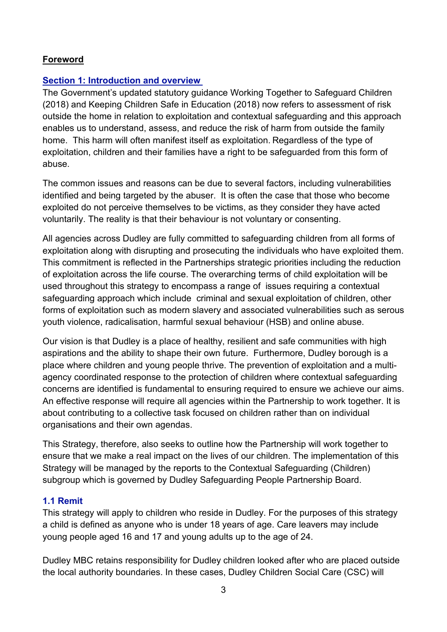#### <span id="page-2-0"></span>**Foreword**

#### <span id="page-2-1"></span>**Section 1: Introduction and overview**

The Government's updated statutory guidance Working Together to Safeguard Children (2018) and Keeping Children Safe in Education (2018) now refers to assessment of risk outside the home in relation to exploitation and contextual safeguarding and this approach enables us to understand, assess, and reduce the risk of harm from outside the family home. This harm will often manifest itself as exploitation. Regardless of the type of exploitation, children and their families have a right to be safeguarded from this form of abuse.

The common issues and reasons can be due to several factors, including vulnerabilities identified and being targeted by the abuser. It is often the case that those who become exploited do not perceive themselves to be victims, as they consider they have acted voluntarily. The reality is that their behaviour is not voluntary or consenting.

All agencies across Dudley are fully committed to safeguarding children from all forms of exploitation along with disrupting and prosecuting the individuals who have exploited them. This commitment is reflected in the Partnerships strategic priorities including the reduction of exploitation across the life course. The overarching terms of child exploitation will be used throughout this strategy to encompass a range of issues requiring a contextual safeguarding approach which include criminal and sexual exploitation of children, other forms of exploitation such as modern slavery and associated vulnerabilities such as serous youth violence, radicalisation, harmful sexual behaviour (HSB) and online abuse.

Our vision is that Dudley is a place of healthy, resilient and safe communities with high aspirations and the ability to shape their own future. Furthermore, Dudley borough is a place where children and young people thrive. The prevention of exploitation and a multiagency coordinated response to the protection of children where contextual safeguarding concerns are identified is fundamental to ensuring required to ensure we achieve our aims. An effective response will require all agencies within the Partnership to work together. It is about contributing to a collective task focused on children rather than on individual organisations and their own agendas.

This Strategy, therefore, also seeks to outline how the Partnership will work together to ensure that we make a real impact on the lives of our children. The implementation of this Strategy will be managed by the reports to the Contextual Safeguarding (Children) subgroup which is governed by Dudley Safeguarding People Partnership Board.

#### <span id="page-2-2"></span>**1.1 Remit**

This strategy will apply to children who reside in Dudley. For the purposes of this strategy a child is defined as anyone who is under 18 years of age. Care leavers may include young people aged 16 and 17 and young adults up to the age of 24.

Dudley MBC retains responsibility for Dudley children looked after who are placed outside the local authority boundaries. In these cases, Dudley Children Social Care (CSC) will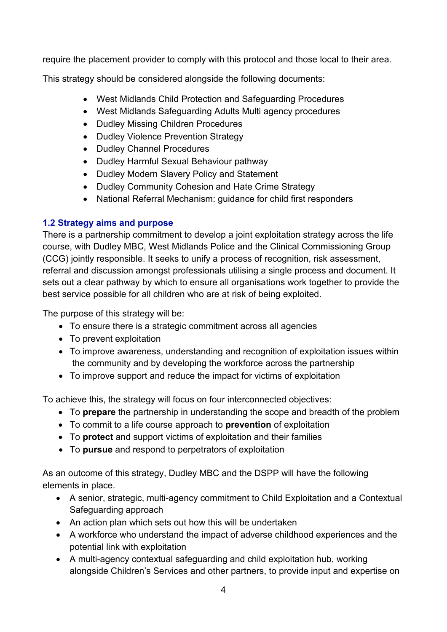require the placement provider to comply with this protocol and those local to their area.

This strategy should be considered alongside the following documents:

- West Midlands Child Protection and Safeguarding Procedures
- West Midlands Safeguarding Adults Multi agency procedures
- Dudley Missing Children Procedures
- Dudley Violence Prevention Strategy
- Dudley Channel Procedures
- Dudley Harmful Sexual Behaviour pathway
- Dudley Modern Slavery Policy and Statement
- Dudley Community Cohesion and Hate Crime Strategy
- National Referral Mechanism: guidance for child first responders

#### <span id="page-3-0"></span>**1.2 Strategy aims and purpose**

There is a partnership commitment to develop a joint exploitation strategy across the life course, with Dudley MBC, West Midlands Police and the Clinical Commissioning Group (CCG) jointly responsible. It seeks to unify a process of recognition, risk assessment, referral and discussion amongst professionals utilising a single process and document. It sets out a clear pathway by which to ensure all organisations work together to provide the best service possible for all children who are at risk of being exploited.

The purpose of this strategy will be:

- To ensure there is a strategic commitment across all agencies
- To prevent exploitation
- To improve awareness, understanding and recognition of exploitation issues within the community and by developing the workforce across the partnership
- To improve support and reduce the impact for victims of exploitation

To achieve this, the strategy will focus on four interconnected objectives:

- To **prepare** the partnership in understanding the scope and breadth of the problem
- To commit to a life course approach to **prevention** of exploitation
- To **protect** and support victims of exploitation and their families
- To **pursue** and respond to perpetrators of exploitation

As an outcome of this strategy, Dudley MBC and the DSPP will have the following elements in place.

- A senior, strategic, multi-agency commitment to Child Exploitation and a Contextual Safeguarding approach
- An action plan which sets out how this will be undertaken
- A workforce who understand the impact of adverse childhood experiences and the potential link with exploitation
- A multi-agency contextual safeguarding and child exploitation hub, working alongside Children's Services and other partners, to provide input and expertise on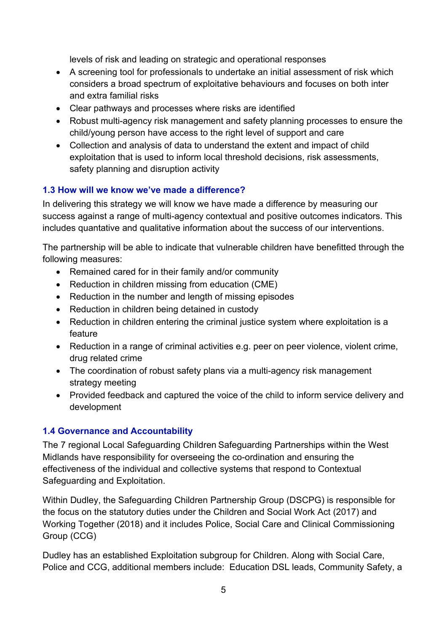levels of risk and leading on strategic and operational responses

- A screening tool for professionals to undertake an initial assessment of risk which considers a broad spectrum of exploitative behaviours and focuses on both inter and extra familial risks
- Clear pathways and processes where risks are identified
- Robust multi-agency risk management and safety planning processes to ensure the child/young person have access to the right level of support and care
- Collection and analysis of data to understand the extent and impact of child exploitation that is used to inform local threshold decisions, risk assessments, safety planning and disruption activity

#### <span id="page-4-0"></span>**1.3 How will we know we've made a difference?**

In delivering this strategy we will know we have made a difference by measuring our success against a range of multi-agency contextual and positive outcomes indicators. This includes quantative and qualitative information about the success of our interventions.

The partnership will be able to indicate that vulnerable children have benefitted through the following measures:

- Remained cared for in their family and/or community
- Reduction in children missing from education (CME)
- Reduction in the number and length of missing episodes
- Reduction in children being detained in custody
- Reduction in children entering the criminal justice system where exploitation is a feature
- Reduction in a range of criminal activities e.g. peer on peer violence, violent crime, drug related crime
- The coordination of robust safety plans via a multi-agency risk management strategy meeting
- Provided feedback and captured the voice of the child to inform service delivery and development

#### <span id="page-4-1"></span>**1.4 Governance and Accountability**

The 7 regional Local Safeguarding Children Safeguarding Partnerships within the West Midlands have responsibility for overseeing the co-ordination and ensuring the effectiveness of the individual and collective systems that respond to Contextual Safeguarding and Exploitation.

Within Dudley, the Safeguarding Children Partnership Group (DSCPG) is responsible for the focus on the statutory duties under the Children and Social Work Act (2017) and Working Together (2018) and it includes Police, Social Care and Clinical Commissioning Group (CCG)

Dudley has an established Exploitation subgroup for Children. Along with Social Care, Police and CCG, additional members include: Education DSL leads, Community Safety, a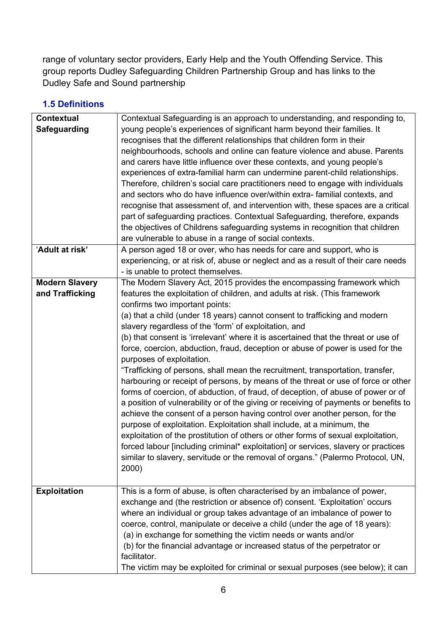range of voluntary sector providers, Early Help and the Youth Offending Service. This group reports Dudley Safeguarding Children Partnership Group and has links to the Dudley Safe and Sound partnership

#### <span id="page-5-0"></span>**1.5 Definitions**

| <b>Contextual</b>     | Contextual Safeguarding is an approach to understanding, and responding to,          |
|-----------------------|--------------------------------------------------------------------------------------|
| Safeguarding          | young people's experiences of significant harm beyond their families. It             |
|                       | recognises that the different relationships that children form in their              |
|                       | neighbourhoods, schools and online can feature violence and abuse. Parents           |
|                       | and carers have little influence over these contexts, and young people's             |
|                       | experiences of extra-familial harm can undermine parent-child relationships.         |
|                       | Therefore, children's social care practitioners need to engage with individuals      |
|                       | and sectors who do have influence over/within extra- familial contexts, and          |
|                       | recognise that assessment of, and intervention with, these spaces are a critical     |
|                       | part of safeguarding practices. Contextual Safeguarding, therefore, expands          |
|                       | the objectives of Childrens safeguarding systems in recognition that children        |
|                       | are vulnerable to abuse in a range of social contexts.                               |
| 'Adult at risk'       | A person aged 18 or over, who has needs for care and support, who is                 |
|                       | experiencing, or at risk of, abuse or neglect and as a result of their care needs    |
|                       | - is unable to protect themselves.                                                   |
| <b>Modern Slavery</b> | The Modern Slavery Act, 2015 provides the encompassing framework which               |
| and Trafficking       | features the exploitation of children, and adults at risk. (This framework           |
|                       | confirms two important points:                                                       |
|                       | (a) that a child (under 18 years) cannot consent to trafficking and modern           |
|                       | slavery regardless of the 'form' of exploitation, and                                |
|                       | (b) that consent is 'irrelevant' where it is ascertained that the threat or use of   |
|                       | force, coercion, abduction, fraud, deception or abuse of power is used for the       |
|                       | purposes of exploitation.                                                            |
|                       | "Trafficking of persons, shall mean the recruitment, transportation, transfer,       |
|                       | harbouring or receipt of persons, by means of the threat or use of force or other    |
|                       | forms of coercion, of abduction, of fraud, of deception, of abuse of power or of     |
|                       | a position of vulnerability or of the giving or receiving of payments or benefits to |
|                       | achieve the consent of a person having control over another person, for the          |
|                       | purpose of exploitation. Exploitation shall include, at a minimum, the               |
|                       | exploitation of the prostitution of others or other forms of sexual exploitation,    |
|                       | forced labour [including criminal* exploitation] or services, slavery or practices   |
|                       | similar to slavery, servitude or the removal of organs." (Palermo Protocol, UN,      |
|                       | 2000)                                                                                |
|                       |                                                                                      |
| <b>Exploitation</b>   | This is a form of abuse, is often characterised by an imbalance of power,            |
|                       | exchange and (the restriction or absence of) consent. 'Exploitation' occurs          |
|                       | where an individual or group takes advantage of an imbalance of power to             |
|                       | coerce, control, manipulate or deceive a child (under the age of 18 years):          |
|                       | (a) in exchange for something the victim needs or wants and/or                       |
|                       | (b) for the financial advantage or increased status of the perpetrator or            |
|                       | facilitator.                                                                         |
|                       | The victim may be exploited for criminal or sexual purposes (see below); it can      |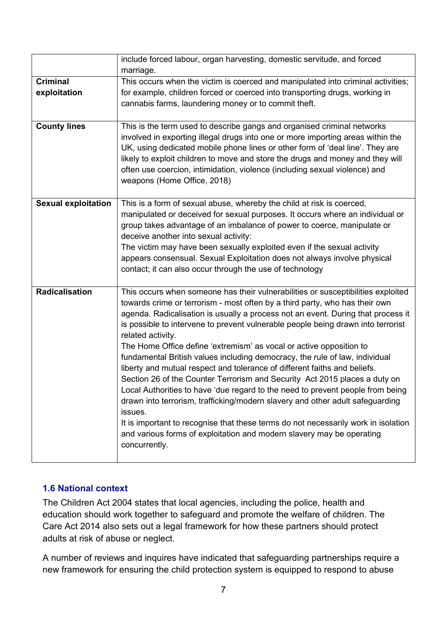|                            | include forced labour, organ harvesting, domestic servitude, and forced                                                                                         |
|----------------------------|-----------------------------------------------------------------------------------------------------------------------------------------------------------------|
|                            | marriage.                                                                                                                                                       |
| <b>Criminal</b>            | This occurs when the victim is coerced and manipulated into criminal activities;                                                                                |
| exploitation               | for example, children forced or coerced into transporting drugs, working in                                                                                     |
|                            | cannabis farms, laundering money or to commit theft.                                                                                                            |
|                            |                                                                                                                                                                 |
| <b>County lines</b>        | This is the term used to describe gangs and organised criminal networks                                                                                         |
|                            | involved in exporting illegal drugs into one or more importing areas within the                                                                                 |
|                            | UK, using dedicated mobile phone lines or other form of 'deal line'. They are                                                                                   |
|                            | likely to exploit children to move and store the drugs and money and they will                                                                                  |
|                            | often use coercion, intimidation, violence (including sexual violence) and                                                                                      |
|                            | weapons (Home Office, 2018)                                                                                                                                     |
|                            |                                                                                                                                                                 |
| <b>Sexual exploitation</b> | This is a form of sexual abuse, whereby the child at risk is coerced,                                                                                           |
|                            | manipulated or deceived for sexual purposes. It occurs where an individual or                                                                                   |
|                            | group takes advantage of an imbalance of power to coerce, manipulate or                                                                                         |
|                            | deceive another into sexual activity:                                                                                                                           |
|                            | The victim may have been sexually exploited even if the sexual activity                                                                                         |
|                            | appears consensual. Sexual Exploitation does not always involve physical                                                                                        |
|                            | contact; it can also occur through the use of technology                                                                                                        |
| Radicalisation             |                                                                                                                                                                 |
|                            | This occurs when someone has their vulnerabilities or susceptibilities exploited<br>towards crime or terrorism - most often by a third party, who has their own |
|                            | agenda. Radicalisation is usually a process not an event. During that process it                                                                                |
|                            | is possible to intervene to prevent vulnerable people being drawn into terrorist                                                                                |
|                            | related activity.                                                                                                                                               |
|                            | The Home Office define 'extremism' as vocal or active opposition to                                                                                             |
|                            | fundamental British values including democracy, the rule of law, individual                                                                                     |
|                            | liberty and mutual respect and tolerance of different faiths and beliefs.                                                                                       |
|                            | Section 26 of the Counter Terrorism and Security Act 2015 places a duty on                                                                                      |
|                            | Local Authorities to have 'due regard to the need to prevent people from being                                                                                  |
|                            | drawn into terrorism, trafficking/modern slavery and other adult safeguarding                                                                                   |
|                            | issues.                                                                                                                                                         |
|                            | It is important to recognise that these terms do not necessarily work in isolation                                                                              |
|                            | and various forms of exploitation and modern slavery may be operating                                                                                           |
|                            | concurrently.                                                                                                                                                   |
|                            |                                                                                                                                                                 |

#### <span id="page-6-0"></span>**1.6 National context**

The Children Act 2004 states that local agencies, including the police, health and education should work together to safeguard and promote the welfare of children. The Care Act 2014 also sets out a legal framework for how these partners should protect adults at risk of abuse or neglect.

A number of reviews and inquires have indicated that safeguarding partnerships require a new framework for ensuring the child protection system is equipped to respond to abuse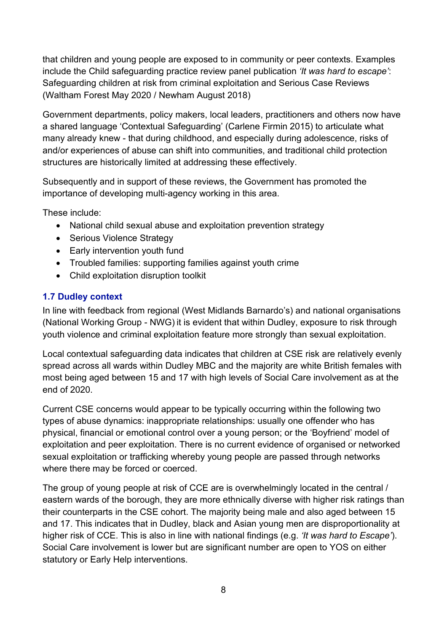that children and young people are exposed to in community or peer contexts. Examples include the Child safeguarding practice review panel publication *'It was hard to escape'*: Safeguarding children at risk from criminal exploitation and Serious Case Reviews (Waltham Forest May 2020 / Newham August 2018)

Government departments, policy makers, local leaders, practitioners and others now have a shared language 'Contextual Safeguarding' (Carlene Firmin 2015) to articulate what many already knew - that during childhood, and especially during adolescence, risks of and/or experiences of abuse can shift into communities, and traditional child protection structures are historically limited at addressing these effectively.

Subsequently and in support of these reviews, the Government has promoted the importance of developing multi-agency working in this area.

These include:

- National child sexual abuse and exploitation prevention strategy
- Serious Violence Strategy
- Early intervention youth fund
- Troubled families: supporting families against youth crime
- Child exploitation disruption toolkit

#### <span id="page-7-0"></span>**1.7 Dudley context**

In line with feedback from regional (West Midlands Barnardo's) and national organisations (National Working Group - NWG) it is evident that within Dudley, exposure to risk through youth violence and criminal exploitation feature more strongly than sexual exploitation.

Local contextual safeguarding data indicates that children at CSE risk are relatively evenly spread across all wards within Dudley MBC and the majority are white British females with most being aged between 15 and 17 with high levels of Social Care involvement as at the end of 2020.

Current CSE concerns would appear to be typically occurring within the following two types of abuse dynamics: inappropriate relationships: usually one offender who has physical, financial or emotional control over a young person; or the 'Boyfriend' model of exploitation and peer exploitation. There is no current evidence of organised or networked sexual exploitation or trafficking whereby young people are passed through networks where there may be forced or coerced.

The group of young people at risk of CCE are is overwhelmingly located in the central / eastern wards of the borough, they are more ethnically diverse with higher risk ratings than their counterparts in the CSE cohort. The majority being male and also aged between 15 and 17. This indicates that in Dudley, black and Asian young men are disproportionality at higher risk of CCE. This is also in line with national findings (e.g. *'It was hard to Escape'*). Social Care involvement is lower but are significant number are open to YOS on either statutory or Early Help interventions.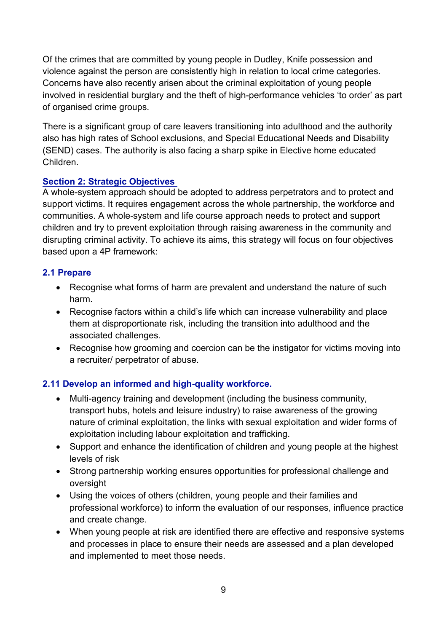Of the crimes that are committed by young people in Dudley, Knife possession and violence against the person are consistently high in relation to local crime categories. Concerns have also recently arisen about the criminal exploitation of young people involved in residential burglary and the theft of high-performance vehicles 'to order' as part of organised crime groups.

There is a significant group of care leavers transitioning into adulthood and the authority also has high rates of School exclusions, and Special Educational Needs and Disability (SEND) cases. The authority is also facing a sharp spike in Elective home educated Children.

#### <span id="page-8-0"></span>**Section 2: Strategic Objectives**

A whole-system approach should be adopted to address perpetrators and to protect and support victims. It requires engagement across the whole partnership, the workforce and communities. A whole-system and life course approach needs to protect and support children and try to prevent exploitation through raising awareness in the community and disrupting criminal activity. To achieve its aims, this strategy will focus on four objectives based upon a 4P framework:

#### <span id="page-8-1"></span>**2.1 Prepare**

- Recognise what forms of harm are prevalent and understand the nature of such harm.
- Recognise factors within a child's life which can increase vulnerability and place them at disproportionate risk, including the transition into adulthood and the associated challenges.
- Recognise how grooming and coercion can be the instigator for victims moving into a recruiter/ perpetrator of abuse.

#### <span id="page-8-2"></span>**2.11 Develop an informed and high-quality workforce.**

- Multi-agency training and development (including the business community, transport hubs, hotels and leisure industry) to raise awareness of the growing nature of criminal exploitation, the links with sexual exploitation and wider forms of exploitation including labour exploitation and trafficking.
- Support and enhance the identification of children and young people at the highest levels of risk
- Strong partnership working ensures opportunities for professional challenge and oversight
- Using the voices of others (children, young people and their families and professional workforce) to inform the evaluation of our responses, influence practice and create change.
- When young people at risk are identified there are effective and responsive systems and processes in place to ensure their needs are assessed and a plan developed and implemented to meet those needs.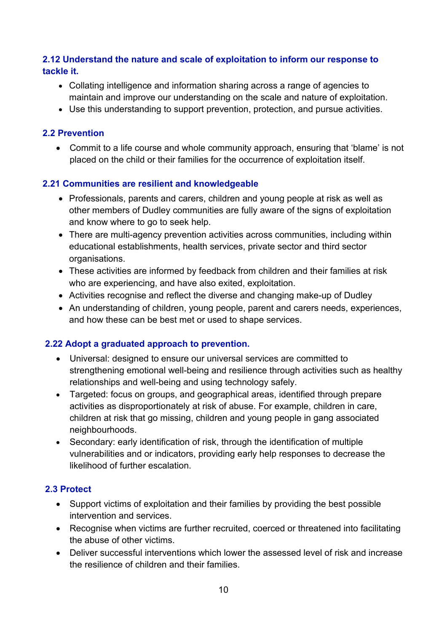#### <span id="page-9-0"></span>**2.12 Understand the nature and scale of exploitation to inform our response to tackle it.**

- Collating intelligence and information sharing across a range of agencies to maintain and improve our understanding on the scale and nature of exploitation.
- Use this understanding to support prevention, protection, and pursue activities.

#### <span id="page-9-1"></span>**2.2 Prevention**

• Commit to a life course and whole community approach, ensuring that 'blame' is not placed on the child or their families for the occurrence of exploitation itself.

#### <span id="page-9-2"></span>**2.21 Communities are resilient and knowledgeable**

- Professionals, parents and carers, children and young people at risk as well as other members of Dudley communities are fully aware of the signs of exploitation and know where to go to seek help.
- There are multi-agency prevention activities across communities, including within educational establishments, health services, private sector and third sector organisations.
- These activities are informed by feedback from children and their families at risk who are experiencing, and have also exited, exploitation.
- Activities recognise and reflect the diverse and changing make-up of Dudley
- An understanding of children, young people, parent and carers needs, experiences, and how these can be best met or used to shape services.

#### <span id="page-9-3"></span>**2.22 Adopt a graduated approach to prevention.**

- Universal: designed to ensure our universal services are committed to strengthening emotional well-being and resilience through activities such as healthy relationships and well-being and using technology safely.
- Targeted: focus on groups, and geographical areas, identified through prepare activities as disproportionately at risk of abuse. For example, children in care, children at risk that go missing, children and young people in gang associated neighbourhoods.
- Secondary: early identification of risk, through the identification of multiple vulnerabilities and or indicators, providing early help responses to decrease the likelihood of further escalation.

#### <span id="page-9-4"></span>**2.3 Protect**

- Support victims of exploitation and their families by providing the best possible intervention and services.
- Recognise when victims are further recruited, coerced or threatened into facilitating the abuse of other victims.
- Deliver successful interventions which lower the assessed level of risk and increase the resilience of children and their families.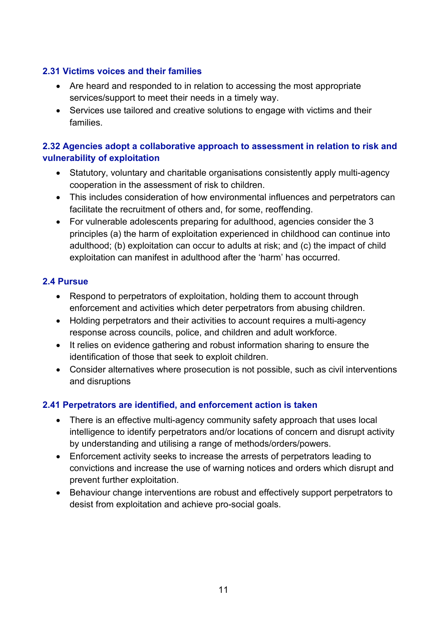#### <span id="page-10-0"></span>**2.31 Victims voices and their families**

- Are heard and responded to in relation to accessing the most appropriate services/support to meet their needs in a timely way.
- Services use tailored and creative solutions to engage with victims and their families.

#### <span id="page-10-1"></span>**2.32 Agencies adopt a collaborative approach to assessment in relation to risk and vulnerability of exploitation**

- Statutory, voluntary and charitable organisations consistently apply multi-agency cooperation in the assessment of risk to children.
- This includes consideration of how environmental influences and perpetrators can facilitate the recruitment of others and, for some, reoffending.
- For vulnerable adolescents preparing for adulthood, agencies consider the 3 principles (a) the harm of exploitation experienced in childhood can continue into adulthood; (b) exploitation can occur to adults at risk; and (c) the impact of child exploitation can manifest in adulthood after the 'harm' has occurred.

#### <span id="page-10-2"></span>**2.4 Pursue**

- Respond to perpetrators of exploitation, holding them to account through enforcement and activities which deter perpetrators from abusing children.
- Holding perpetrators and their activities to account requires a multi-agency response across councils, police, and children and adult workforce.
- It relies on evidence gathering and robust information sharing to ensure the identification of those that seek to exploit children.
- Consider alternatives where prosecution is not possible, such as civil interventions and disruptions

#### <span id="page-10-3"></span>**2.41 Perpetrators are identified, and enforcement action is taken**

- There is an effective multi-agency community safety approach that uses local intelligence to identify perpetrators and/or locations of concern and disrupt activity by understanding and utilising a range of methods/orders/powers.
- Enforcement activity seeks to increase the arrests of perpetrators leading to convictions and increase the use of warning notices and orders which disrupt and prevent further exploitation.
- Behaviour change interventions are robust and effectively support perpetrators to desist from exploitation and achieve pro-social goals.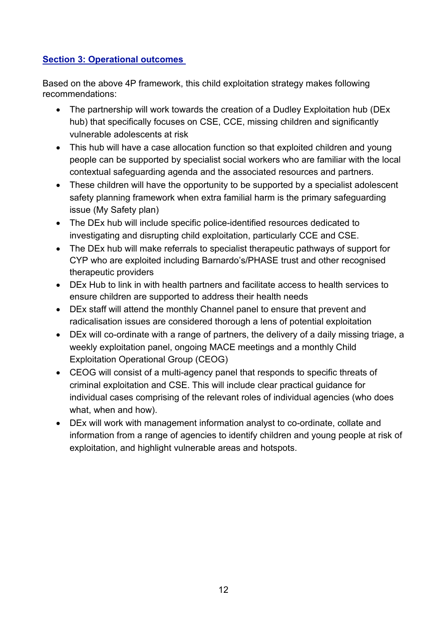#### <span id="page-11-0"></span>**Section 3: Operational outcomes**

Based on the above 4P framework, this child exploitation strategy makes following recommendations:

- The partnership will work towards the creation of a Dudley Exploitation hub (DEx hub) that specifically focuses on CSE, CCE, missing children and significantly vulnerable adolescents at risk
- This hub will have a case allocation function so that exploited children and young people can be supported by specialist social workers who are familiar with the local contextual safeguarding agenda and the associated resources and partners.
- These children will have the opportunity to be supported by a specialist adolescent safety planning framework when extra familial harm is the primary safeguarding issue (My Safety plan)
- The DEx hub will include specific police-identified resources dedicated to investigating and disrupting child exploitation, particularly CCE and CSE.
- The DEx hub will make referrals to specialist therapeutic pathways of support for CYP who are exploited including Barnardo's/PHASE trust and other recognised therapeutic providers
- DEx Hub to link in with health partners and facilitate access to health services to ensure children are supported to address their health needs
- DEx staff will attend the monthly Channel panel to ensure that prevent and radicalisation issues are considered thorough a lens of potential exploitation
- DEx will co-ordinate with a range of partners, the delivery of a daily missing triage, a weekly exploitation panel, ongoing MACE meetings and a monthly Child Exploitation Operational Group (CEOG)
- CEOG will consist of a multi-agency panel that responds to specific threats of criminal exploitation and CSE. This will include clear practical guidance for individual cases comprising of the relevant roles of individual agencies (who does what, when and how).
- DEx will work with management information analyst to co-ordinate, collate and information from a range of agencies to identify children and young people at risk of exploitation, and highlight vulnerable areas and hotspots.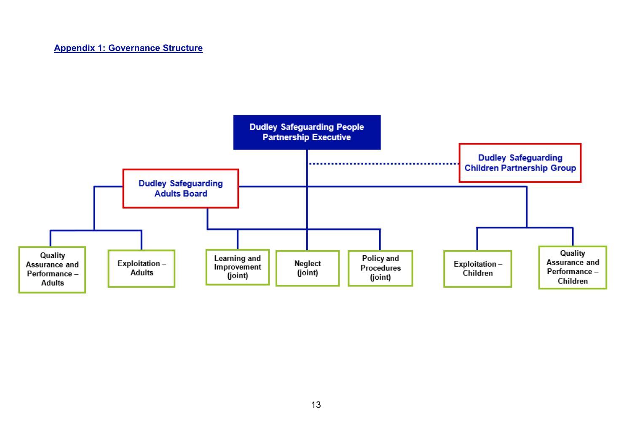<span id="page-12-0"></span>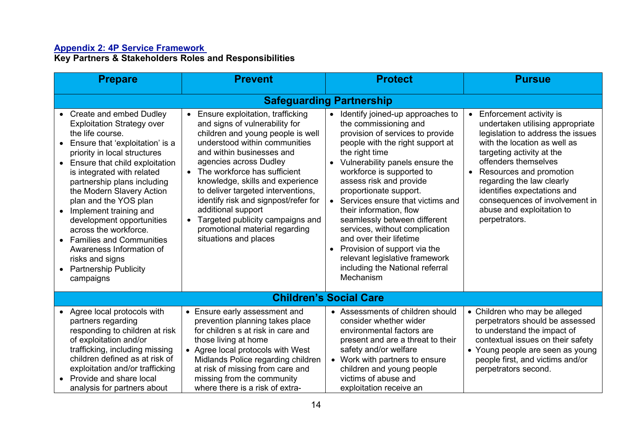#### **Appendix 2: 4P Service Framework**

**Key Partners & Stakeholders Roles and Responsibilities**

<span id="page-13-0"></span>

| <b>Prepare</b>                                                                                                                                                                                                                                                                                                                                                                                                                                                                                                                 | <b>Prevent</b>                                                                                                                                                                                                                                                                                                                                                                                                                                                                                     | <b>Protect</b>                                                                                                                                                                                                                                                                                                                                                                                                                                                                                                                                                      | <b>Pursue</b>                                                                                                                                                                                                                                                                                                                                                             |
|--------------------------------------------------------------------------------------------------------------------------------------------------------------------------------------------------------------------------------------------------------------------------------------------------------------------------------------------------------------------------------------------------------------------------------------------------------------------------------------------------------------------------------|----------------------------------------------------------------------------------------------------------------------------------------------------------------------------------------------------------------------------------------------------------------------------------------------------------------------------------------------------------------------------------------------------------------------------------------------------------------------------------------------------|---------------------------------------------------------------------------------------------------------------------------------------------------------------------------------------------------------------------------------------------------------------------------------------------------------------------------------------------------------------------------------------------------------------------------------------------------------------------------------------------------------------------------------------------------------------------|---------------------------------------------------------------------------------------------------------------------------------------------------------------------------------------------------------------------------------------------------------------------------------------------------------------------------------------------------------------------------|
|                                                                                                                                                                                                                                                                                                                                                                                                                                                                                                                                |                                                                                                                                                                                                                                                                                                                                                                                                                                                                                                    | <b>Safeguarding Partnership</b>                                                                                                                                                                                                                                                                                                                                                                                                                                                                                                                                     |                                                                                                                                                                                                                                                                                                                                                                           |
| <b>Create and embed Dudley</b><br><b>Exploitation Strategy over</b><br>the life course.<br>Ensure that 'exploitation' is a<br>priority in local structures<br>Ensure that child exploitation<br>is integrated with related<br>partnership plans including<br>the Modern Slavery Action<br>plan and the YOS plan<br>Implement training and<br>development opportunities<br>across the workforce.<br><b>Families and Communities</b><br>Awareness Information of<br>risks and signs<br><b>Partnership Publicity</b><br>campaigns | • Ensure exploitation, trafficking<br>and signs of vulnerability for<br>children and young people is well<br>understood within communities<br>and within businesses and<br>agencies across Dudley<br>The workforce has sufficient<br>$\bullet$<br>knowledge, skills and experience<br>to deliver targeted interventions,<br>identify risk and signpost/refer for<br>additional support<br>Targeted publicity campaigns and<br>$\bullet$<br>promotional material regarding<br>situations and places | Identify joined-up approaches to<br>the commissioning and<br>provision of services to provide<br>people with the right support at<br>the right time<br>Vulnerability panels ensure the<br>workforce is supported to<br>assess risk and provide<br>proportionate support.<br>Services ensure that victims and<br>their information, flow<br>seamlessly between different<br>services, without complication<br>and over their lifetime<br>Provision of support via the<br>$\bullet$<br>relevant legislative framework<br>including the National referral<br>Mechanism | Enforcement activity is<br>undertaken utilising appropriate<br>legislation to address the issues<br>with the location as well as<br>targeting activity at the<br>offenders themselves<br>Resources and promotion<br>$\bullet$<br>regarding the law clearly<br>identifies expectations and<br>consequences of involvement in<br>abuse and exploitation to<br>perpetrators. |
| <b>Children's Social Care</b>                                                                                                                                                                                                                                                                                                                                                                                                                                                                                                  |                                                                                                                                                                                                                                                                                                                                                                                                                                                                                                    |                                                                                                                                                                                                                                                                                                                                                                                                                                                                                                                                                                     |                                                                                                                                                                                                                                                                                                                                                                           |
| Agree local protocols with<br>partners regarding<br>responding to children at risk<br>of exploitation and/or<br>trafficking, including missing<br>children defined as at risk of<br>exploitation and/or trafficking<br>Provide and share local<br>analysis for partners about                                                                                                                                                                                                                                                  | • Ensure early assessment and<br>prevention planning takes place<br>for children s at risk in care and<br>those living at home<br>• Agree local protocols with West<br>Midlands Police regarding children<br>at risk of missing from care and<br>missing from the community<br>where there is a risk of extra-                                                                                                                                                                                     | • Assessments of children should<br>consider whether wider<br>environmental factors are<br>present and are a threat to their<br>safety and/or welfare<br>• Work with partners to ensure<br>children and young people<br>victims of abuse and<br>exploitation receive an                                                                                                                                                                                                                                                                                             | • Children who may be alleged<br>perpetrators should be assessed<br>to understand the impact of<br>contextual issues on their safety<br>• Young people are seen as young<br>people first, and victims and/or<br>perpetrators second.                                                                                                                                      |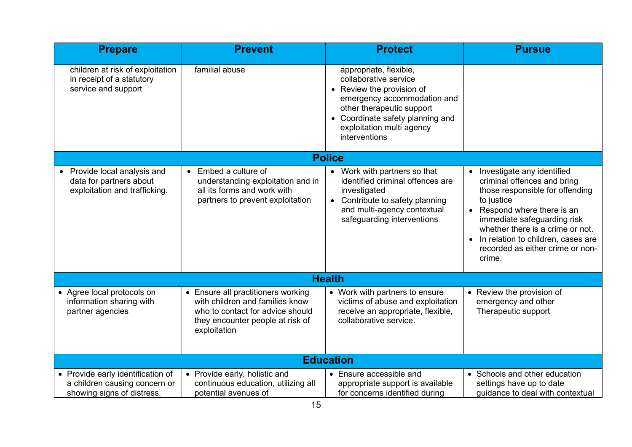| <b>Prepare</b>                                                                                   | <b>Prevent</b>                                                                                                                                                           | <b>Protect</b>                                                                                                                                                                                                             | <b>Pursue</b>                                                                                                                                                                                                                                                                                      |
|--------------------------------------------------------------------------------------------------|--------------------------------------------------------------------------------------------------------------------------------------------------------------------------|----------------------------------------------------------------------------------------------------------------------------------------------------------------------------------------------------------------------------|----------------------------------------------------------------------------------------------------------------------------------------------------------------------------------------------------------------------------------------------------------------------------------------------------|
| children at risk of exploitation<br>in receipt of a statutory<br>service and support             | familial abuse                                                                                                                                                           | appropriate, flexible,<br>collaborative service<br>• Review the provision of<br>emergency accommodation and<br>other therapeutic support<br>• Coordinate safety planning and<br>exploitation multi agency<br>interventions |                                                                                                                                                                                                                                                                                                    |
|                                                                                                  |                                                                                                                                                                          | <b>Police</b>                                                                                                                                                                                                              |                                                                                                                                                                                                                                                                                                    |
| Provide local analysis and<br>data for partners about<br>exploitation and trafficking.           | Embed a culture of<br>$\bullet$<br>understanding exploitation and in<br>all its forms and work with<br>partners to prevent exploitation                                  | • Work with partners so that<br>identified criminal offences are<br>investigated<br>• Contribute to safety planning<br>and multi-agency contextual<br>safeguarding interventions                                           | • Investigate any identified<br>criminal offences and bring<br>those responsible for offending<br>to justice<br>• Respond where there is an<br>immediate safeguarding risk<br>whether there is a crime or not.<br>In relation to children, cases are<br>recorded as either crime or non-<br>crime. |
|                                                                                                  | <b>Health</b>                                                                                                                                                            |                                                                                                                                                                                                                            |                                                                                                                                                                                                                                                                                                    |
| • Agree local protocols on<br>information sharing with<br>partner agencies                       | Ensure all practitioners working<br>$\bullet$<br>with children and families know<br>who to contact for advice should<br>they encounter people at risk of<br>exploitation | • Work with partners to ensure<br>victims of abuse and exploitation<br>receive an appropriate, flexible,<br>collaborative service.                                                                                         | • Review the provision of<br>emergency and other<br>Therapeutic support                                                                                                                                                                                                                            |
| <b>Education</b>                                                                                 |                                                                                                                                                                          |                                                                                                                                                                                                                            |                                                                                                                                                                                                                                                                                                    |
| • Provide early identification of<br>a children causing concern or<br>showing signs of distress. | • Provide early, holistic and<br>continuous education, utilizing all<br>potential avenues of                                                                             | • Ensure accessible and<br>appropriate support is available<br>for concerns identified during                                                                                                                              | • Schools and other education<br>settings have up to date<br>guidance to deal with contextual                                                                                                                                                                                                      |